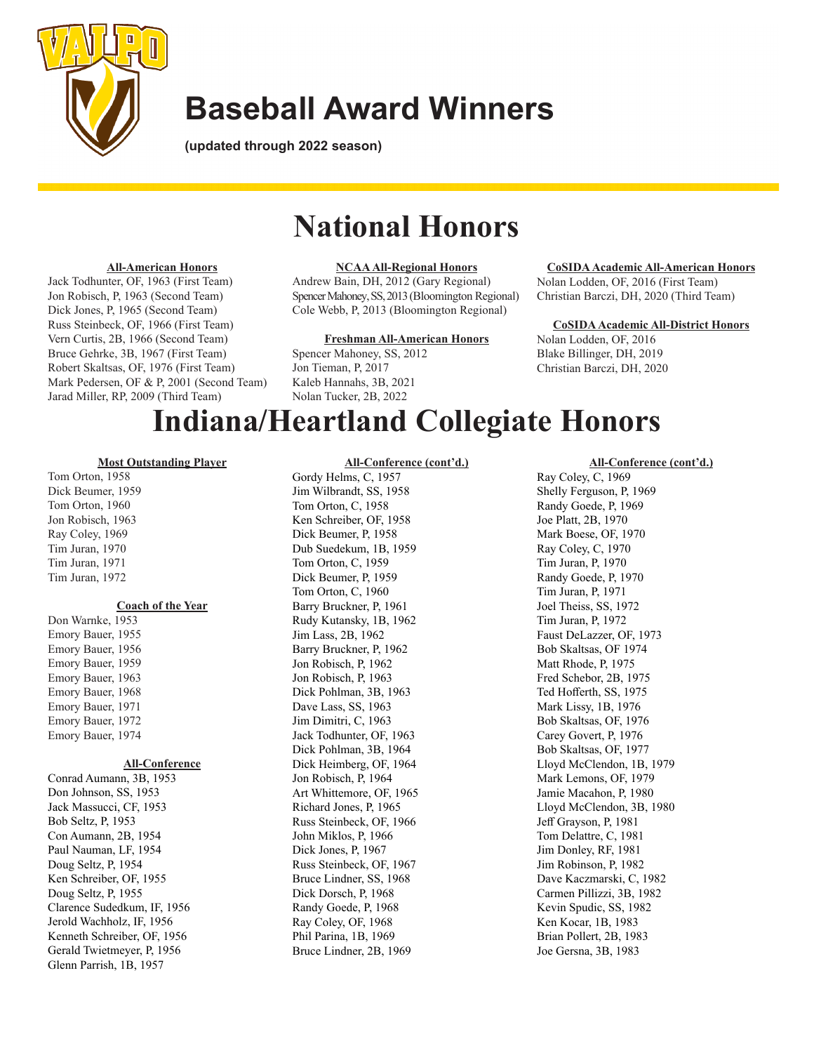

**(updated through 2022 season)**

# **National Honors**

### **All-American Honors**

Jack Todhunter, OF, 1963 (First Team) Jon Robisch, P, 1963 (Second Team) Dick Jones, P, 1965 (Second Team) Russ Steinbeck, OF, 1966 (First Team) Vern Curtis, 2B, 1966 (Second Team) Bruce Gehrke, 3B, 1967 (First Team) Robert Skaltsas, OF, 1976 (First Team) Mark Pedersen, OF & P, 2001 (Second Team) Jarad Miller, RP, 2009 (Third Team)

### **NCAA All-Regional Honors**

Andrew Bain, DH, 2012 (Gary Regional) Spencer Mahoney, SS, 2013 (Bloomington Regional) Cole Webb, P, 2013 (Bloomington Regional)

### **Freshman All-American Honors**

Spencer Mahoney, SS, 2012 Jon Tieman, P, 2017 Kaleb Hannahs, 3B, 2021 Nolan Tucker, 2B, 2022

#### **CoSIDA Academic All-American Honors**

Nolan Lodden, OF, 2016 (First Team) Christian Barczi, DH, 2020 (Third Team)

#### **CoSIDA Academic All-District Honors**

Nolan Lodden, OF, 2016 Blake Billinger, DH, 2019 Christian Barczi, DH, 2020

# **Indiana/Heartland Collegiate Honors**

### **Most Outstanding Player**

Tom Orton, 1958 Dick Beumer, 1959 Tom Orton, 1960 Jon Robisch, 1963 Ray Coley, 1969 Tim Juran, 1970 Tim Juran, 1971 Tim Juran, 1972

#### **Coach of the Year**

Don Warnke, 1953 Emory Bauer, 1955 Emory Bauer, 1956 Emory Bauer, 1959 Emory Bauer, 1963 Emory Bauer, 1968 Emory Bauer, 1971 Emory Bauer, 1972 Emory Bauer, 1974

### **All-Conference**

Conrad Aumann, 3B, 1953 Don Johnson, SS, 1953 Jack Massucci, CF, 1953 Bob Seltz, P, 1953 Con Aumann, 2B, 1954 Paul Nauman, LF, 1954 Doug Seltz, P, 1954 Ken Schreiber, OF, 1955 Doug Seltz, P, 1955 Clarence Sudedkum, IF, 1956 Jerold Wachholz, IF, 1956 Kenneth Schreiber, OF, 1956 Gerald Twietmeyer, P, 1956 Glenn Parrish, 1B, 1957

### **All-Conference (cont'd.)**

Gordy Helms, C, 1957 Jim Wilbrandt, SS, 1958 Tom Orton, C, 1958 Ken Schreiber, OF, 1958 Dick Beumer, P, 1958 Dub Suedekum, 1B, 1959 Tom Orton, C, 1959 Dick Beumer, P, 1959 Tom Orton, C, 1960 Barry Bruckner, P, 1961 Rudy Kutansky, 1B, 1962 Jim Lass, 2B, 1962 Barry Bruckner, P, 1962 Jon Robisch, P, 1962 Jon Robisch, P, 1963 Dick Pohlman, 3B, 1963 Dave Lass, SS, 1963 Jim Dimitri, C, 1963 Jack Todhunter, OF, 1963 Dick Pohlman, 3B, 1964 Dick Heimberg, OF, 1964 Jon Robisch, P, 1964 Art Whittemore, OF, 1965 Richard Jones, P, 1965 Russ Steinbeck, OF, 1966 John Miklos, P, 1966 Dick Jones, P, 1967 Russ Steinbeck, OF, 1967 Bruce Lindner, SS, 1968 Dick Dorsch, P, 1968 Randy Goede, P, 1968 Ray Coley, OF, 1968 Phil Parina, 1B, 1969 Bruce Lindner, 2B, 1969

### **All-Conference (cont'd.)**

Ray Coley, C, 1969 Shelly Ferguson, P, 1969 Randy Goede, P, 1969 Joe Platt, 2B, 1970 Mark Boese, OF, 1970 Ray Coley, C, 1970 Tim Juran, P, 1970 Randy Goede, P, 1970 Tim Juran, P, 1971 Joel Theiss, SS, 1972 Tim Juran, P, 1972 Faust DeLazzer, OF, 1973 Bob Skaltsas, OF 1974 Matt Rhode, P, 1975 Fred Schebor, 2B, 1975 Ted Hofferth, SS, 1975 Mark Lissy, 1B, 1976 Bob Skaltsas, OF, 1976 Carey Govert, P, 1976 Bob Skaltsas, OF, 1977 Lloyd McClendon, 1B, 1979 Mark Lemons, OF, 1979 Jamie Macahon, P, 1980 Lloyd McClendon, 3B, 1980 Jeff Grayson, P, 1981 Tom Delattre, C, 1981 Jim Donley, RF, 1981 Jim Robinson, P, 1982 Dave Kaczmarski, C, 1982 Carmen Pillizzi, 3B, 1982 Kevin Spudic, SS, 1982 Ken Kocar, 1B, 1983 Brian Pollert, 2B, 1983 Joe Gersna, 3B, 1983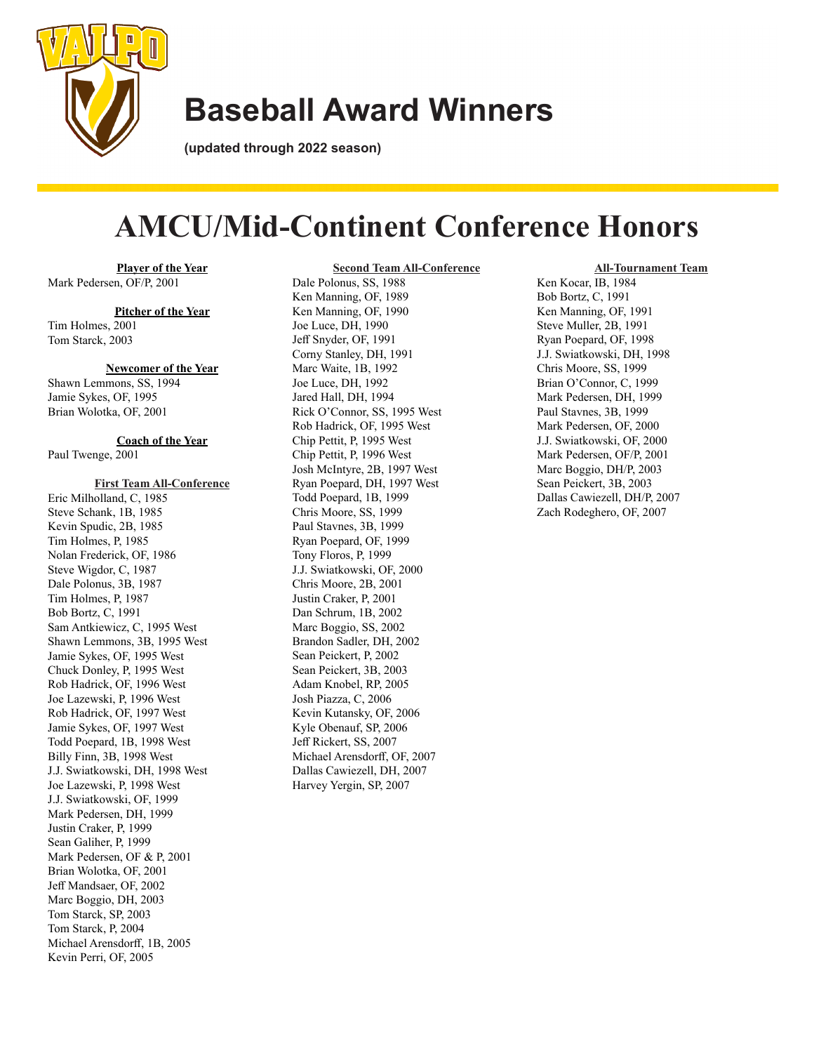

**(updated through 2022 season)**

# **AMCU/Mid-Continent Conference Honors**

**Second Team All-Conference**

**Player of the Year** Mark Pedersen, OF/P, 2001

### **Pitcher of the Year**

Tim Holmes, 2001 Tom Starck, 2003

#### **Newcomer of the Year**

Shawn Lemmons, SS, 1994 Jamie Sykes, OF, 1995 Brian Wolotka, OF, 2001

### **Coach of the Year** Paul Twenge, 2001

#### **First Team All-Conference**

Eric Milholland, C, 1985 Steve Schank, 1B, 1985 Kevin Spudic, 2B, 1985 Tim Holmes, P, 1985 Nolan Frederick, OF, 1986 Steve Wigdor, C, 1987 Dale Polonus, 3B, 1987 Tim Holmes, P, 1987 Bob Bortz, C, 1991 Sam Antkiewicz, C, 1995 West Shawn Lemmons, 3B, 1995 West Jamie Sykes, OF, 1995 West Chuck Donley, P, 1995 West Rob Hadrick, OF, 1996 West Joe Lazewski, P, 1996 West Rob Hadrick, OF, 1997 West Jamie Sykes, OF, 1997 West Todd Poepard, 1B, 1998 West Billy Finn, 3B, 1998 West J.J. Swiatkowski, DH, 1998 West Joe Lazewski, P, 1998 West J.J. Swiatkowski, OF, 1999 Mark Pedersen, DH, 1999 Justin Craker, P, 1999 Sean Galiher, P, 1999 Mark Pedersen, OF & P, 2001 Brian Wolotka, OF, 2001 Jeff Mandsaer, OF, 2002 Marc Boggio, DH, 2003 Tom Starck, SP, 2003 Tom Starck, P, 2004 Michael Arensdorff, 1B, 2005 Kevin Perri, OF, 2005

Dale Polonus, SS, 1988 Ken Manning, OF, 1989 Ken Manning, OF, 1990 Joe Luce, DH, 1990 Jeff Snyder, OF, 1991 Corny Stanley, DH, 1991 Marc Waite, 1B, 1992 Joe Luce, DH, 1992 Jared Hall, DH, 1994 Rick O'Connor, SS, 1995 West Rob Hadrick, OF, 1995 West Chip Pettit, P, 1995 West Chip Pettit, P, 1996 West Josh McIntyre, 2B, 1997 West Ryan Poepard, DH, 1997 West Todd Poepard, 1B, 1999 Chris Moore, SS, 1999 Paul Stavnes, 3B, 1999 Ryan Poepard, OF, 1999 Tony Floros, P, 1999 J.J. Swiatkowski, OF, 2000 Chris Moore, 2B, 2001 Justin Craker, P, 2001 Dan Schrum, 1B, 2002 Marc Boggio, SS, 2002 Brandon Sadler, DH, 2002 Sean Peickert, P, 2002 Sean Peickert, 3B, 2003 Adam Knobel, RP, 2005 Josh Piazza, C, 2006 Kevin Kutansky, OF, 2006 Kyle Obenauf, SP, 2006 Jeff Rickert, SS, 2007 Michael Arensdorff, OF, 2007 Dallas Cawiezell, DH, 2007 Harvey Yergin, SP, 2007

#### **All-Tournament Team**

Ken Kocar, IB, 1984 Bob Bortz, C, 1991 Ken Manning, OF, 1991 Steve Muller, 2B, 1991 Ryan Poepard, OF, 1998 J.J. Swiatkowski, DH, 1998 Chris Moore, SS, 1999 Brian O'Connor, C, 1999 Mark Pedersen, DH, 1999 Paul Stavnes, 3B, 1999 Mark Pedersen, OF, 2000 J.J. Swiatkowski, OF, 2000 Mark Pedersen, OF/P, 2001 Marc Boggio, DH/P, 2003 Sean Peickert, 3B, 2003 Dallas Cawiezell, DH/P, 2007 Zach Rodeghero, OF, 2007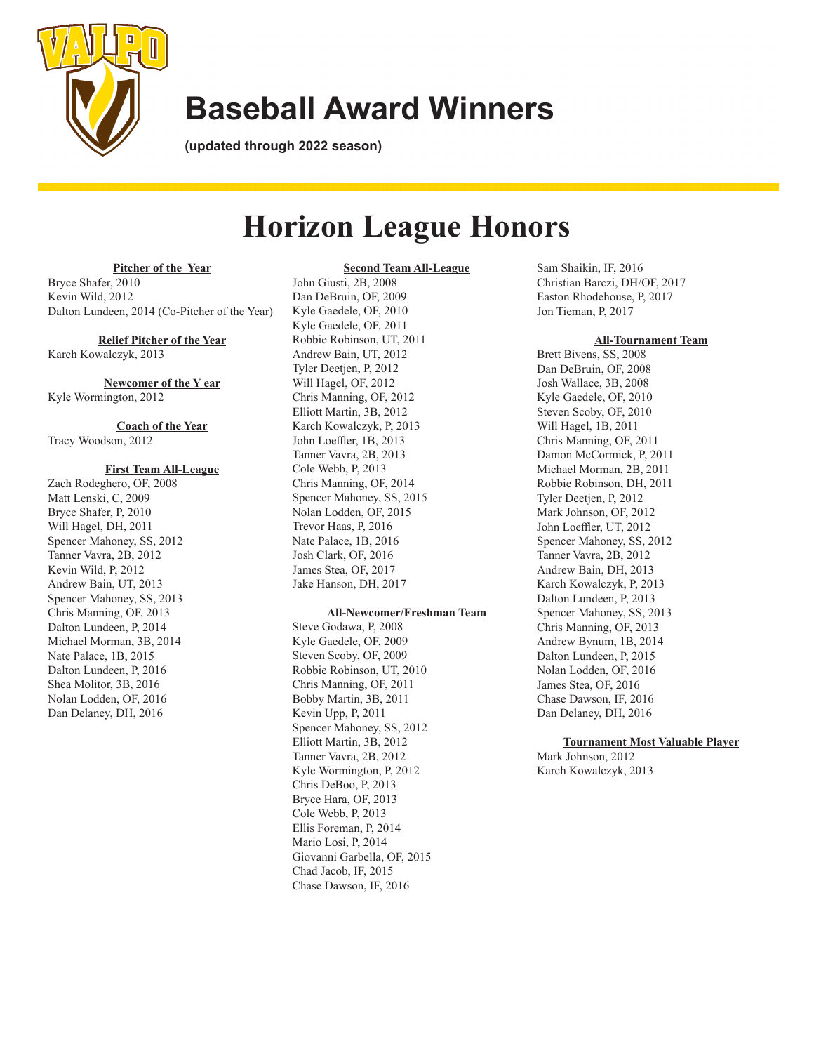

**(updated through 2022 season)**

# **Horizon League Honors**

#### **Pitcher of the Year**

Bryce Shafer, 2010 Kevin Wild, 2012 Dalton Lundeen, 2014 (Co-Pitcher of the Year)

### **Relief Pitcher of the Year**

Karch Kowalczyk, 2013

**Newcomer of the Y ear** Kyle Wormington, 2012

### **Coach of the Year** Tracy Woodson, 2012

#### **First Team All-League**

Zach Rodeghero, OF, 2008 Matt Lenski, C, 2009 Bryce Shafer, P, 2010 Will Hagel, DH, 2011 Spencer Mahoney, SS, 2012 Tanner Vavra, 2B, 2012 Kevin Wild, P, 2012 Andrew Bain, UT, 2013 Spencer Mahoney, SS, 2013 Chris Manning, OF, 2013 Dalton Lundeen, P, 2014 Michael Morman, 3B, 2014 Nate Palace, 1B, 2015 Dalton Lundeen, P, 2016 Shea Molitor, 3B, 2016 Nolan Lodden, OF, 2016 Dan Delaney, DH, 2016

**Second Team All-League** John Giusti, 2B, 2008 Dan DeBruin, OF, 2009 Kyle Gaedele, OF, 2010 Kyle Gaedele, OF, 2011 Robbie Robinson, UT, 2011 Andrew Bain, UT, 2012 Tyler Deetjen, P, 2012 Will Hagel, OF, 2012 Chris Manning, OF, 2012 Elliott Martin, 3B, 2012 Karch Kowalczyk, P, 2013 John Loeffler, 1B, 2013 Tanner Vavra, 2B, 2013 Cole Webb, P, 2013 Chris Manning, OF, 2014 Spencer Mahoney, SS, 2015 Nolan Lodden, OF, 2015 Trevor Haas, P, 2016 Nate Palace, 1B, 2016 Josh Clark, OF, 2016 James Stea, OF, 2017 Jake Hanson, DH, 2017

### **All-Newcomer/Freshman Team**

Steve Godawa, P, 2008 Kyle Gaedele, OF, 2009 Steven Scoby, OF, 2009 Robbie Robinson, UT, 2010 Chris Manning, OF, 2011 Bobby Martin, 3B, 2011 Kevin Upp, P, 2011 Spencer Mahoney, SS, 2012 Elliott Martin, 3B, 2012 Tanner Vavra, 2B, 2012 Kyle Wormington, P, 2012 Chris DeBoo, P, 2013 Bryce Hara, OF, 2013 Cole Webb, P, 2013 Ellis Foreman, P, 2014 Mario Losi, P, 2014 Giovanni Garbella, OF, 2015 Chad Jacob, IF, 2015 Chase Dawson, IF, 2016

Sam Shaikin, IF, 2016 Christian Barczi, DH/OF, 2017 Easton Rhodehouse, P, 2017 Jon Tieman, P, 2017

#### **All-Tournament Team**

Brett Bivens, SS, 2008 Dan DeBruin, OF, 2008 Josh Wallace, 3B, 2008 Kyle Gaedele, OF, 2010 Steven Scoby, OF, 2010 Will Hagel, 1B, 2011 Chris Manning, OF, 2011 Damon McCormick, P, 2011 Michael Morman, 2B, 2011 Robbie Robinson, DH, 2011 Tyler Deetjen, P, 2012 Mark Johnson, OF, 2012 John Loeffler, UT, 2012 Spencer Mahoney, SS, 2012 Tanner Vavra, 2B, 2012 Andrew Bain, DH, 2013 Karch Kowalczyk, P, 2013 Dalton Lundeen, P, 2013 Spencer Mahoney, SS, 2013 Chris Manning, OF, 2013 Andrew Bynum, 1B, 2014 Dalton Lundeen, P, 2015 Nolan Lodden, OF, 2016 James Stea, OF, 2016 Chase Dawson, IF, 2016 Dan Delaney, DH, 2016

### **Tournament Most Valuable Player**

Mark Johnson, 2012 Karch Kowalczyk, 2013